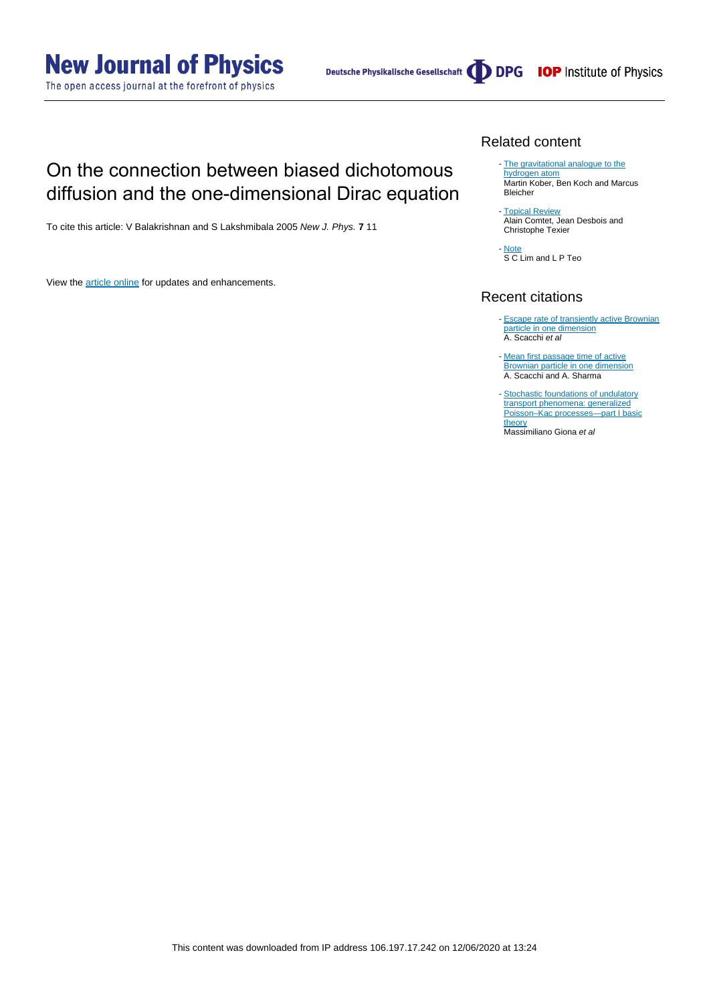**New Journal of Physics** 

The open access journal at the forefront of physics

Deutsche Physikalische Gesellschaft (DDPG IOP Institute of Physics

## On the connection between biased dichotomous diffusion and the one-dimensional Dirac equation

To cite this article: V Balakrishnan and S Lakshmibala 2005 New J. Phys. **7** 11

View the [article online](https://doi.org/10.1088/1367-2630/7/1/011) for updates and enhancements.

### Related content

- [The gravitational analogue to the](http://iopscience.iop.org/article/10.1088/0143-0807/28/3/007) [hydrogen atom](http://iopscience.iop.org/article/10.1088/0143-0807/28/3/007) Martin Kober, Ben Koch and Marcus Bleicher

[Topical Review](http://iopscience.iop.org/article/10.1088/0305-4470/38/37/R01) Alain Comtet, Jean Desbois and Christophe Texier -

**[Note](http://iopscience.iop.org/article/10.1088/1751-8113/42/6/065208)** S C Lim and L P Teo -

## Recent citations

- [Escape rate of transiently active Brownian](http://dx.doi.org/10.1103/PhysRevE.100.012601) [particle in one dimension](http://dx.doi.org/10.1103/PhysRevE.100.012601) A. Scacchi et al
- [Mean first passage time of active](http://dx.doi.org/10.1080/00268976.2017.1401743) [Brownian particle in one dimension](http://dx.doi.org/10.1080/00268976.2017.1401743) A. Scacchi and A. Sharma
- [Stochastic foundations of undulatory](http://iopscience.iop.org/1751-8121/50/33/335002) [transport phenomena: generalized](http://iopscience.iop.org/1751-8121/50/33/335002) [Poisson–Kac processes—part I basic](http://iopscience.iop.org/1751-8121/50/33/335002) [theory](http://iopscience.iop.org/1751-8121/50/33/335002)

Massimiliano Giona et al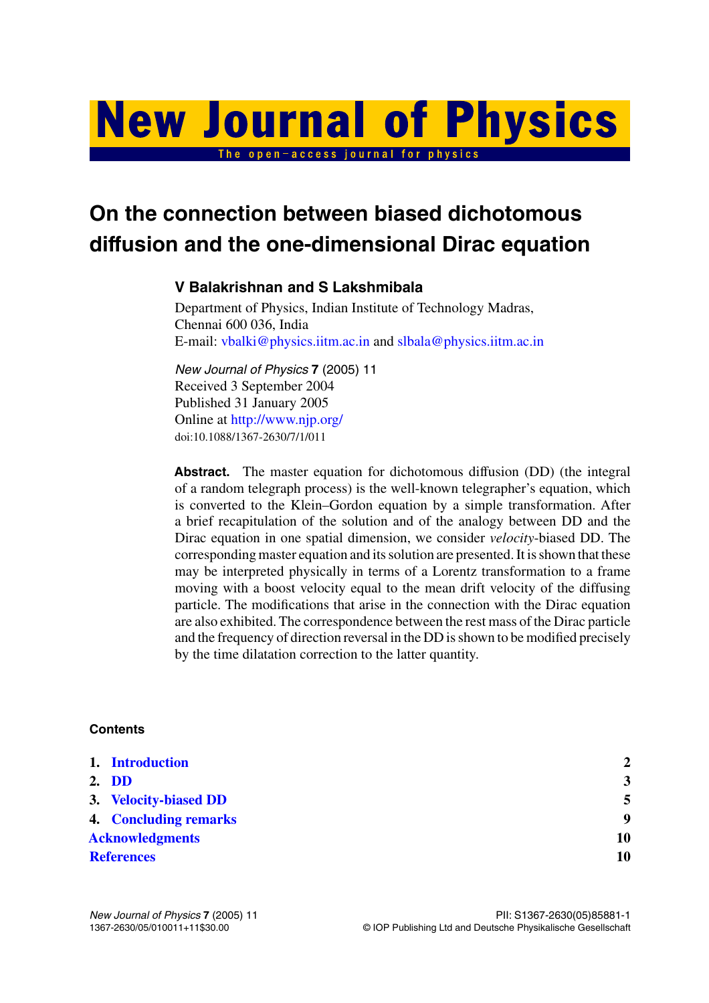# **New Journal of Physics** The open-access journal for physics

**On the connection between biased dichotomous diffusion and the one-dimensional Dirac equation**

## **V Balakrishnan and S Lakshmibala**

Department of Physics, Indian Institute of Technology Madras, Chennai 600 036, India E-mail: [vbalki@physics.iitm.ac.in](mailto:vbalki@physics.iitm.ac.in) and [slbala@physics.iitm.ac.in](mailto:slbala@physics.iitm.ac.in)

*New Journal of Physics* **7** (2005) 11 Received 3 September 2004 Published 31 January 2005 Online at <http://www.njp.org/> doi:10.1088/1367-2630/7/1/011

**Abstract.** The master equation for dichotomous diffusion (DD) (the integral of a random telegraph process) is the well-known telegrapher's equation, which is converted to the Klein–Gordon equation by a simple transformation. After a brief recapitulation of the solution and of the analogy between DD and the Dirac equation in one spatial dimension, we consider *velocity*-biased DD. The corresponding master equation and its solution are presented. It is shown that these may be interpreted physically in terms of a Lorentz transformation to a frame moving with a boost velocity equal to the mean drift velocity of the diffusing particle. The modifications that arise in the connection with the Dirac equation are also exhibited. The correspondence between the rest mass of the Dirac particle and the frequency of direction reversal in the DD is shown to be modified precisely by the time dilatation correction to the latter quantity.

## **Contents**

|                        | 1. Introduction              | $\mathbf{2}$            |
|------------------------|------------------------------|-------------------------|
|                        | 2. DD                        | $\overline{\mathbf{3}}$ |
|                        | 3. Velocity-biased DD        | 5                       |
|                        | <b>4. Concluding remarks</b> | 9                       |
| <b>Acknowledgments</b> |                              | 10                      |
| <b>References</b>      |                              | 10                      |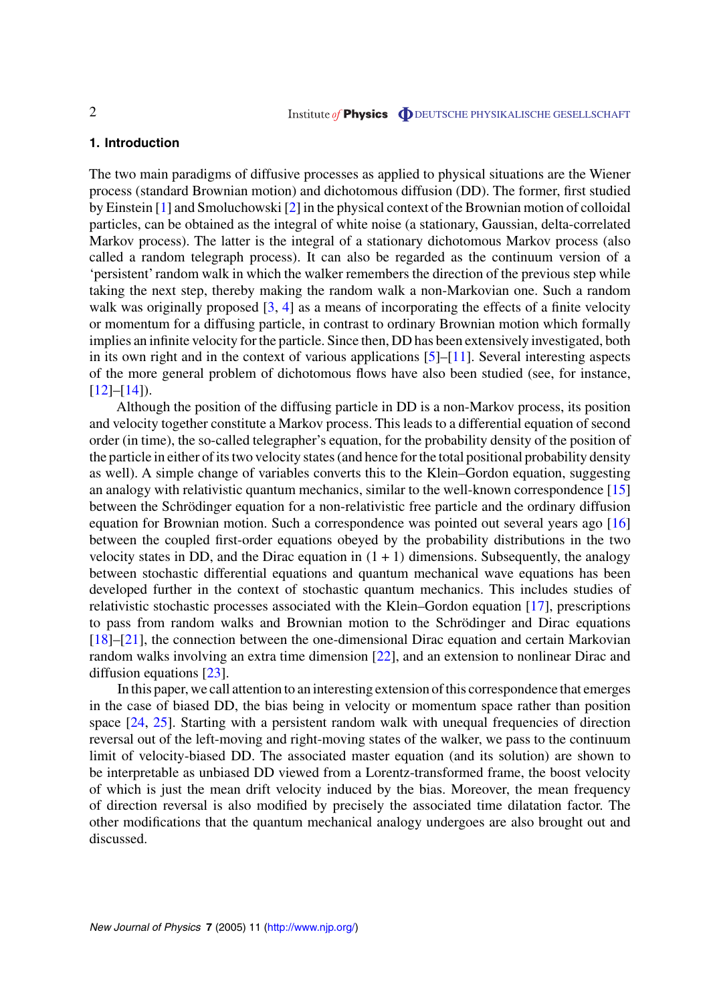#### <span id="page-2-0"></span>**1. Introduction**

The two main paradigms of diffusive processes as applied to physical situations are the Wiener process (standard Brownian motion) and dichotomous diffusion (DD). The former, first studied by Einstein [\[1](#page-10-0)] and Smoluchowski [[2\]](#page-10-0) in the physical context of the Brownian motion of colloidal particles, can be obtained as the integral of white noise (a stationary, Gaussian, delta-correlated Markov process). The latter is the integral of a stationary dichotomous Markov process (also called a random telegraph process). It can also be regarded as the continuum version of a 'persistent' random walk in which the walker remembers the direction of the previous step while taking the next step, thereby making the random walk a non-Markovian one. Such a random walk was originally proposed [[3,](#page-10-0) [4\]](#page-10-0) as a means of incorporating the effects of a finite velocity or momentum for a diffusing particle, in contrast to ordinary Brownian motion which formally implies an infinite velocity for the particle. Since then, DD has been extensively investigated, both in its own right and in the context of various applications [[5\]](#page-10-0)–[[11](#page-10-0)]. Several interesting aspects of the more general problem of dichotomous flows have also been studied (see, for instance,  $[12]-[14]$  $[12]-[14]$  $[12]-[14]$  $[12]-[14]$ ).

Although the position of the diffusing particle in DD is a non-Markov process, its position and velocity together constitute a Markov process. This leads to a differential equation of second order (in time), the so-called telegrapher's equation, for the probability density of the position of the particle in either of its two velocity states (and hence for the total positional probability density as well). A simple change of variables converts this to the Klein–Gordon equation, suggesting an analogy with relativistic quantum mechanics, similar to the well-known correspondence [\[15](#page-10-0)] between the Schrödinger equation for a non-relativistic free particle and the ordinary diffusion equation for Brownian motion. Such a correspondence was pointed out several years ago [\[16](#page-10-0)] between the coupled first-order equations obeyed by the probability distributions in the two velocity states in DD, and the Dirac equation in  $(1 + 1)$  dimensions. Subsequently, the analogy between stochastic differential equations and quantum mechanical wave equations has been developed further in the context of stochastic quantum mechanics. This includes studies of relativistic stochastic processes associated with the Klein–Gordon equation [\[17](#page-10-0)], prescriptions to pass from random walks and Brownian motion to the Schrödinger and Dirac equations [[18\]](#page-10-0)–[[21\]](#page-10-0), the connection between the one-dimensional Dirac equation and certain Markovian random walks involving an extra time dimension [\[22](#page-10-0)], and an extension to nonlinear Dirac and diffusion equations [[23\]](#page-10-0).

In this paper, we call attention to an interesting extension of this correspondence that emerges in the case of biased DD, the bias being in velocity or momentum space rather than position space [[24,](#page-10-0) [25\]](#page-10-0). Starting with a persistent random walk with unequal frequencies of direction reversal out of the left-moving and right-moving states of the walker, we pass to the continuum limit of velocity-biased DD. The associated master equation (and its solution) are shown to be interpretable as unbiased DD viewed from a Lorentz-transformed frame, the boost velocity of which is just the mean drift velocity induced by the bias. Moreover, the mean frequency of direction reversal is also modified by precisely the associated time dilatation factor. The other modifications that the quantum mechanical analogy undergoes are also brought out and discussed.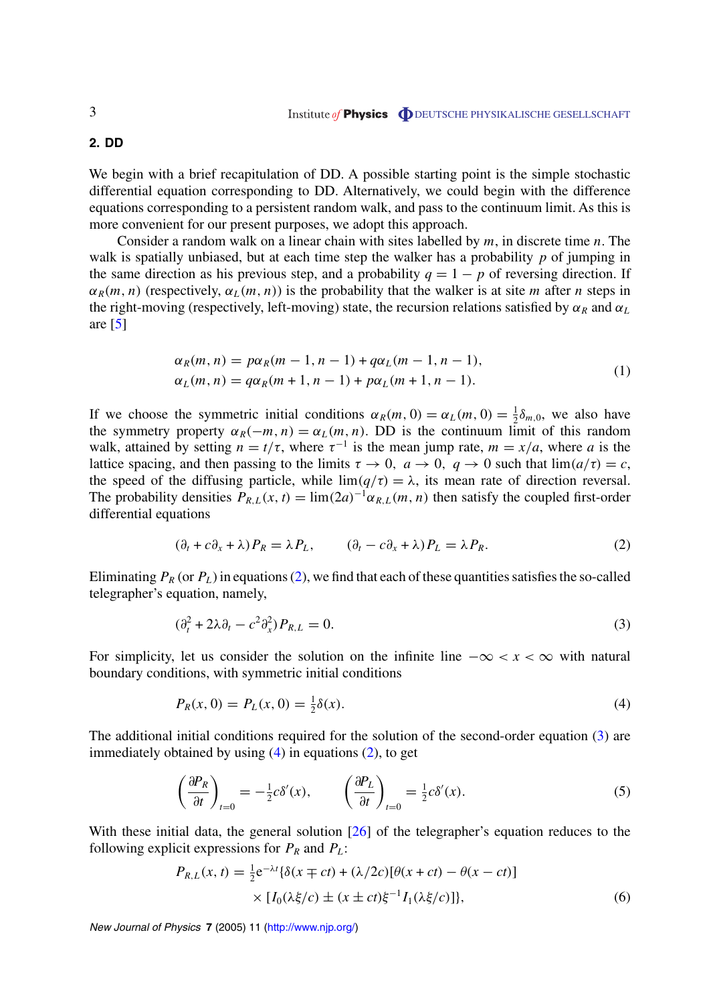#### <span id="page-3-0"></span>**2. DD**

We begin with a brief recapitulation of DD. A possible starting point is the simple stochastic differential equation corresponding to DD. Alternatively, we could begin with the difference equations corresponding to a persistent random walk, and pass to the continuum limit. As this is more convenient for our present purposes, we adopt this approach.

Consider a random walk on a linear chain with sites labelled by *m*, in discrete time *n*. The walk is spatially unbiased, but at each time step the walker has a probability *p* of jumping in the same direction as his previous step, and a probability  $q = 1 - p$  of reversing direction. If  $\alpha_R(m, n)$  (respectively,  $\alpha_I(m, n)$ ) is the probability that the walker is at site *m* after *n* steps in the right-moving (respectively, left-moving) state, the recursion relations satisfied by  $\alpha_R$  and  $\alpha_L$ are  $[5]$  $[5]$ 

$$
\alpha_R(m, n) = p\alpha_R(m - 1, n - 1) + q\alpha_L(m - 1, n - 1),
$$
  
\n
$$
\alpha_L(m, n) = q\alpha_R(m + 1, n - 1) + p\alpha_L(m + 1, n - 1).
$$
\n(1)

If we choose the symmetric initial conditions  $\alpha_R(m, 0) = \alpha_L(m, 0) = \frac{1}{2}\delta_{m,0}$ , we also have the symmetry property  $\alpha_R(-m, n) = \alpha_L(m, n)$ . DD is the continuum limit of this random walk, attained by setting  $n = t/\tau$ , where  $\tau^{-1}$  is the mean jump rate,  $m = x/a$ , where *a* is the lattice spacing, and then passing to the limits  $\tau \to 0$ ,  $a \to 0$ ,  $q \to 0$  such that  $\lim_{\tau \to 0} (a/\tau) = c$ , the speed of the diffusing particle, while  $\lim(q/\tau) = \lambda$ , its mean rate of direction reversal. The probability densities  $P_{R,L}(x, t) = \lim_{h \to 0} (2a)^{-1} \alpha_{R,L}(m, n)$  then satisfy the coupled first-order differential equations

$$
(\partial_t + c\partial_x + \lambda)P_R = \lambda P_L, \qquad (\partial_t - c\partial_x + \lambda)P_L = \lambda P_R.
$$
 (2)

Eliminating  $P_R$  (or  $P_L$ ) in equations (2), we find that each of these quantities satisfies the so-called telegrapher's equation, namely,

$$
(\partial_t^2 + 2\lambda \partial_t - c^2 \partial_x^2) P_{R,L} = 0.
$$
\n<sup>(3)</sup>

For simplicity, let us consider the solution on the infinite line  $-\infty < x < \infty$  with natural boundary conditions, with symmetric initial conditions

$$
P_R(x,0) = P_L(x,0) = \frac{1}{2}\delta(x).
$$
\n(4)

The additional initial conditions required for the solution of the second-order equation (3) are immediately obtained by using  $(4)$  in equations  $(2)$ , to get

$$
\left(\frac{\partial P_R}{\partial t}\right)_{t=0} = -\frac{1}{2}c\delta'(x), \qquad \left(\frac{\partial P_L}{\partial t}\right)_{t=0} = \frac{1}{2}c\delta'(x). \tag{5}
$$

With these initial data, the general solution [[26\]](#page-10-0) of the telegrapher's equation reduces to the following explicit expressions for  $P_R$  and  $P_L$ :

$$
P_{R,L}(x,t) = \frac{1}{2} e^{-\lambda t} \{ \delta(x \mp ct) + (\lambda/2c) [\theta(x+ct) - \theta(x-ct)] \times [I_0(\lambda \xi/c) \pm (x \pm ct) \xi^{-1} I_1(\lambda \xi/c)] \},
$$
(6)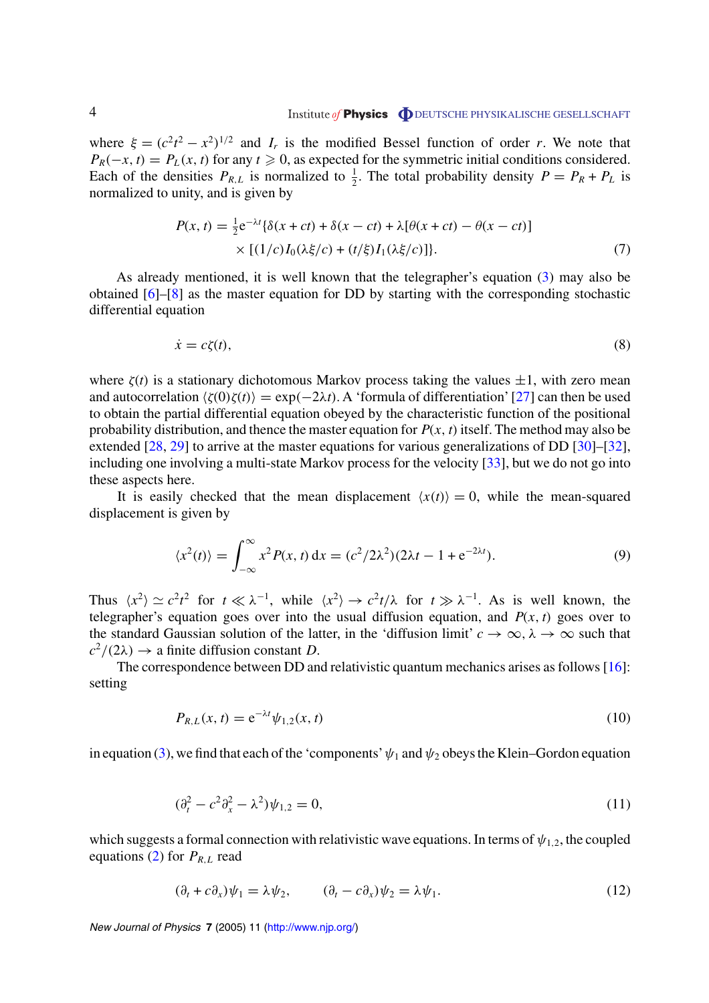<span id="page-4-0"></span>where  $\xi = (c^2t^2 - x^2)^{1/2}$  and  $I_r$  is the modified Bessel function of order *r*. We note that  $P_R(-x, t) = P_L(x, t)$  for any  $t \ge 0$ , as expected for the symmetric initial conditions considered. Each of the densities  $P_{R,L}$  is normalized to  $\frac{1}{2}$ . The total probability density  $P = P_R + P_L$  is normalized to unity, and is given by

$$
P(x,t) = \frac{1}{2}e^{-\lambda t} \{\delta(x+ct) + \delta(x-ct) + \lambda[\theta(x+ct) - \theta(x-ct)]
$$
  
 
$$
\times [(1/c)I_0(\lambda \xi/c) + (t/\xi)I_1(\lambda \xi/c)]\}.
$$
 (7)

As already mentioned, it is well known that the telegrapher's equation ([3\)](#page-3-0) may also be obtained [\[6](#page-10-0)]–[[8\]](#page-10-0) as the master equation for DD by starting with the corresponding stochastic differential equation

$$
\dot{x} = c\zeta(t),\tag{8}
$$

where  $\zeta(t)$  is a stationary dichotomous Markov process taking the values  $\pm 1$ , with zero mean and autocorrelation  $\langle \zeta(0)\zeta(t)\rangle = \exp(-2\lambda t)$ . A 'formula of differentiation' [[27\]](#page-10-0) can then be used to obtain the partial differential equation obeyed by the characteristic function of the positional probability distribution, and thence the master equation for  $P(x, t)$  itself. The method may also be extended [[28,](#page-10-0) [29\]](#page-10-0) to arrive at the master equations for various generalizations of DD [\[30](#page-10-0)]–[\[32](#page-11-0)], including one involving a multi-state Markov process for the velocity [\[33](#page-11-0)], but we do not go into these aspects here.

It is easily checked that the mean displacement  $\langle x(t) \rangle = 0$ , while the mean-squared displacement is given by

$$
\langle x^2(t) \rangle = \int_{-\infty}^{\infty} x^2 P(x, t) dx = (c^2/2\lambda^2)(2\lambda t - 1 + e^{-2\lambda t}).
$$
 (9)

Thus  $\langle x^2 \rangle \simeq c^2 t^2$  for  $t \ll \lambda^{-1}$ , while  $\langle x^2 \rangle \rightarrow c^2 t / \lambda$  for  $t \gg \lambda^{-1}$ . As is well known, the telegrapher's equation goes over into the usual diffusion equation, and  $P(x, t)$  goes over to the standard Gaussian solution of the latter, in the 'diffusion limit'  $c \to \infty$ ,  $\lambda \to \infty$  such that  $c^2/(2\lambda) \rightarrow$  a finite diffusion constant *D*.

The correspondence between DD and relativistic quantum mechanics arises as follows [\[16\]](#page-10-0): setting

$$
P_{R,L}(x,t) = e^{-\lambda t} \psi_{1,2}(x,t)
$$
\n(10)

in equation [\(3](#page-3-0)), we find that each of the 'components'  $\psi_1$  and  $\psi_2$  obeys the Klein–Gordon equation

$$
(\partial_t^2 - c^2 \partial_x^2 - \lambda^2) \psi_{1,2} = 0, \tag{11}
$$

which suggests a formal connection with relativistic wave equations. In terms of  $\psi_{1,2}$ , the coupled equations ([2\)](#page-3-0) for  $P_{R,L}$  read

$$
(\partial_t + c\partial_x)\psi_1 = \lambda\psi_2, \qquad (\partial_t - c\partial_x)\psi_2 = \lambda\psi_1.
$$
 (12)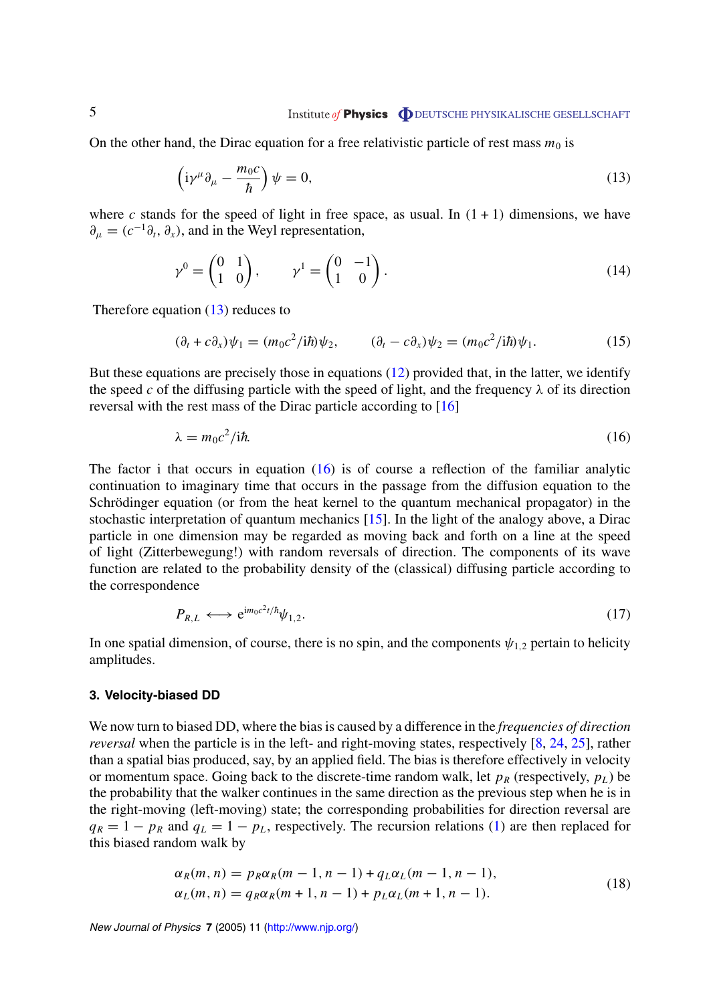## <span id="page-5-0"></span>5 **Institute of Physics DEUTSCHE PHYSIKALISCHE GESELLSCHAFT**

On the other hand, the Dirac equation for a free relativistic particle of rest mass  $m_0$  is

$$
\left(\mathrm{i}\gamma^{\mu}\partial_{\mu} - \frac{m_0 c}{\hbar}\right)\psi = 0,\tag{13}
$$

where *c* stands for the speed of light in free space, as usual. In  $(1 + 1)$  dimensions, we have  $\partial_{\mu} = (c^{-1}\partial_t, \partial_x)$ , and in the Weyl representation,

$$
\gamma^0 = \begin{pmatrix} 0 & 1 \\ 1 & 0 \end{pmatrix}, \qquad \gamma^1 = \begin{pmatrix} 0 & -1 \\ 1 & 0 \end{pmatrix}.
$$
 (14)

Therefore equation  $(13)$  reduces to

$$
(\partial_t + c\partial_x)\psi_1 = (m_0 c^2 / i\hbar)\psi_2, \qquad (\partial_t - c\partial_x)\psi_2 = (m_0 c^2 / i\hbar)\psi_1.
$$
 (15)

But these equations are precisely those in equations ([12\)](#page-4-0) provided that, in the latter, we identify the speed *c* of the diffusing particle with the speed of light, and the frequency  $\lambda$  of its direction reversal with the rest mass of the Dirac particle according to [[16\]](#page-10-0)

$$
\lambda = m_0 c^2 / i \hbar. \tag{16}
$$

The factor i that occurs in equation  $(16)$  is of course a reflection of the familiar analytic continuation to imaginary time that occurs in the passage from the diffusion equation to the Schrödinger equation (or from the heat kernel to the quantum mechanical propagator) in the stochastic interpretation of quantum mechanics [\[15](#page-10-0)]. In the light of the analogy above, a Dirac particle in one dimension may be regarded as moving back and forth on a line at the speed of light (Zitterbewegung!) with random reversals of direction. The components of its wave function are related to the probability density of the (classical) diffusing particle according to the correspondence

$$
P_{R,L} \longleftrightarrow e^{im_0 c^2 t/\hbar} \psi_{1,2}.
$$
 (17)

In one spatial dimension, of course, there is no spin, and the components  $\psi_{1,2}$  pertain to helicity amplitudes.

#### **3. Velocity-biased DD**

We now turn to biased DD, where the bias is caused by a difference in the *frequencies of direction reversal* when the particle is in the left- and right-moving states, respectively [\[8](#page-10-0), [24](#page-10-0), [25](#page-10-0)], rather than a spatial bias produced, say, by an applied field. The bias is therefore effectively in velocity or momentum space. Going back to the discrete-time random walk, let  $p_R$  (respectively,  $p_L$ ) be the probability that the walker continues in the same direction as the previous step when he is in the right-moving (left-moving) state; the corresponding probabilities for direction reversal are  $q_R = 1 - p_R$  and  $q_L = 1 - p_L$ , respectively. The recursion relations [\(1](#page-3-0)) are then replaced for this biased random walk by

$$
\alpha_R(m, n) = p_R \alpha_R(m - 1, n - 1) + q_L \alpha_L(m - 1, n - 1),
$$
  
\n
$$
\alpha_L(m, n) = q_R \alpha_R(m + 1, n - 1) + p_L \alpha_L(m + 1, n - 1).
$$
\n(18)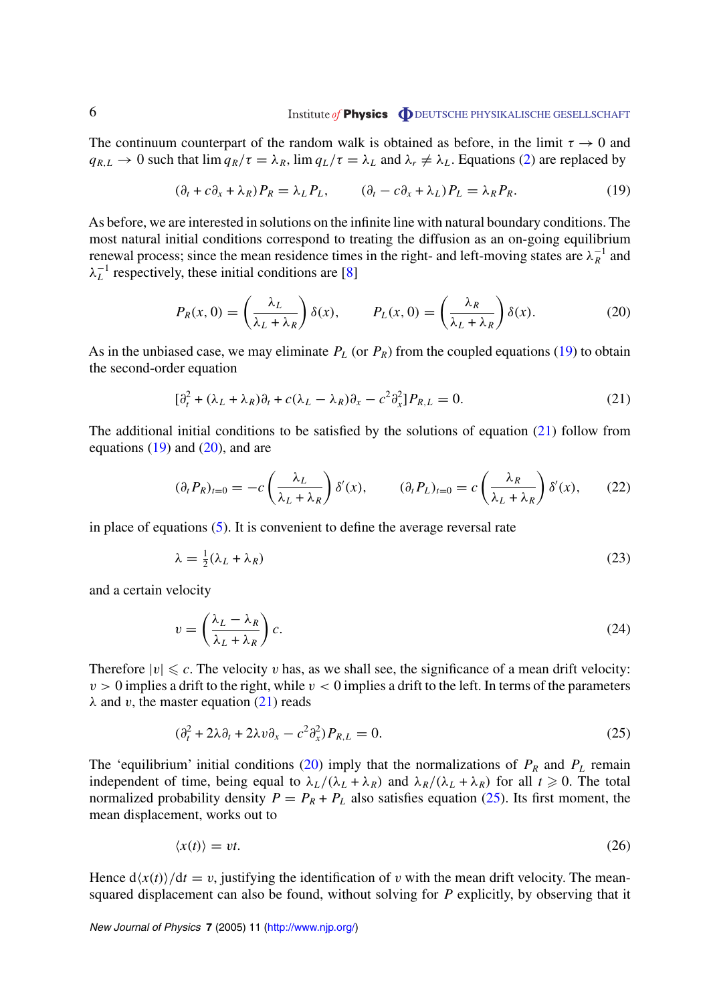<span id="page-6-0"></span>The continuum counterpart of the random walk is obtained as before, in the limit  $\tau \to 0$  and  $q_{R,L} \to 0$  such that  $\lim q_R/\tau = \lambda_R$ ,  $\lim q_L/\tau = \lambda_L$  and  $\lambda_r \neq \lambda_L$ . Equations [\(2](#page-3-0)) are replaced by

$$
(\partial_t + c\partial_x + \lambda_R)P_R = \lambda_L P_L, \qquad (\partial_t - c\partial_x + \lambda_L)P_L = \lambda_R P_R. \tag{19}
$$

As before, we are interested in solutions on the infinite line with natural boundary conditions. The most natural initial conditions correspond to treating the diffusion as an on-going equilibrium renewal process; since the mean residence times in the right- and left-moving states are  $\lambda_R^{-1}$  and  $\lambda_L^{-1}$  respectively, these initial conditions are [[8\]](#page-10-0)

$$
P_R(x,0) = \left(\frac{\lambda_L}{\lambda_L + \lambda_R}\right) \delta(x), \qquad P_L(x,0) = \left(\frac{\lambda_R}{\lambda_L + \lambda_R}\right) \delta(x). \tag{20}
$$

As in the unbiased case, we may eliminate  $P_L$  (or  $P_R$ ) from the coupled equations (19) to obtain the second-order equation

$$
\left[\partial_t^2 + (\lambda_L + \lambda_R)\partial_t + c(\lambda_L - \lambda_R)\partial_x - c^2\partial_x^2\right]P_{R,L} = 0.
$$
\n(21)

The additional initial conditions to be satisfied by the solutions of equation  $(21)$  follow from equations  $(19)$  and  $(20)$ , and are

$$
(\partial_t P_R)_{t=0} = -c \left(\frac{\lambda_L}{\lambda_L + \lambda_R}\right) \delta'(x), \qquad (\partial_t P_L)_{t=0} = c \left(\frac{\lambda_R}{\lambda_L + \lambda_R}\right) \delta'(x), \qquad (22)
$$

in place of equations [\(5](#page-3-0)). It is convenient to define the average reversal rate

$$
\lambda = \frac{1}{2}(\lambda_L + \lambda_R) \tag{23}
$$

and a certain velocity

$$
v = \left(\frac{\lambda_L - \lambda_R}{\lambda_L + \lambda_R}\right)c.
$$
\n(24)

Therefore  $|v| \leq c$ . The velocity *v* has, as we shall see, the significance of a mean drift velocity:  $v > 0$  implies a drift to the right, while  $v < 0$  implies a drift to the left. In terms of the parameters  $λ$  and *v*, the master equation (21) reads

$$
(\partial_t^2 + 2\lambda \partial_t + 2\lambda v \partial_x - c^2 \partial_x^2) P_{R,L} = 0.
$$
\n<sup>(25)</sup>

The 'equilibrium' initial conditions (20) imply that the normalizations of  $P_R$  and  $P_L$  remain independent of time, being equal to  $\lambda_L/(\lambda_L + \lambda_R)$  and  $\lambda_R/(\lambda_L + \lambda_R)$  for all  $t \ge 0$ . The total normalized probability density  $P = P_R + P_L$  also satisfies equation (25). Its first moment, the mean displacement, works out to

$$
\langle x(t) \rangle = vt. \tag{26}
$$

Hence  $d\langle x(t)\rangle/dt = v$ , justifying the identification of *v* with the mean drift velocity. The meansquared displacement can also be found, without solving for *P* explicitly, by observing that it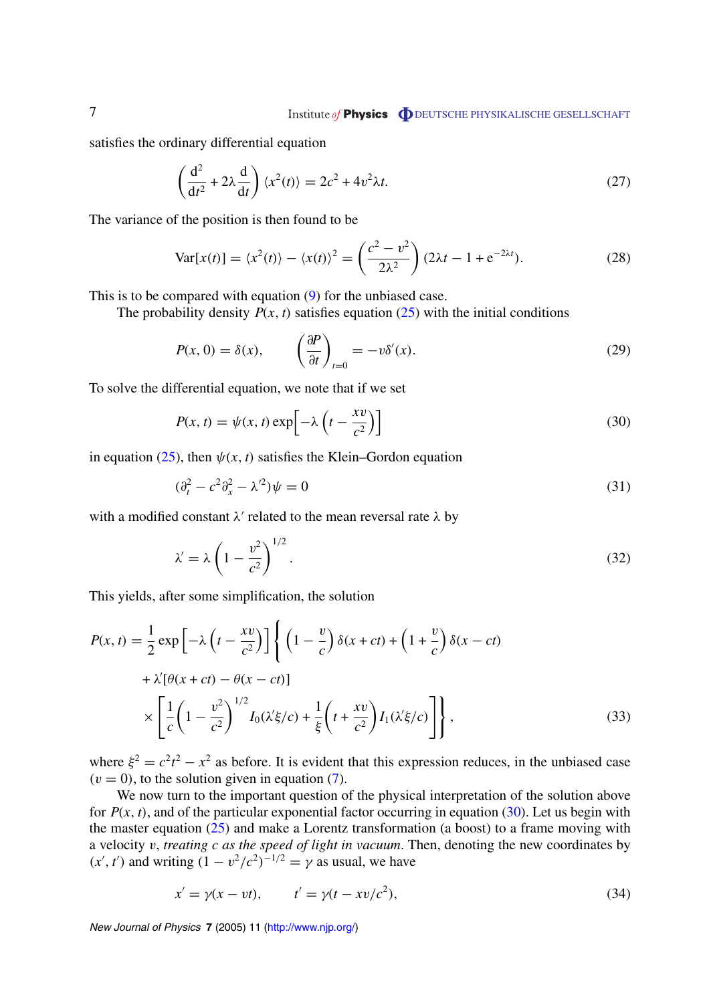## <span id="page-7-0"></span>7 **DEUTSCHE PHYSIKALISCHE GESELLSCHAFT**

satisfies the ordinary differential equation

$$
\left(\frac{\mathrm{d}^2}{\mathrm{d}t^2} + 2\lambda \frac{\mathrm{d}}{\mathrm{d}t}\right) \langle x^2(t) \rangle = 2c^2 + 4v^2 \lambda t. \tag{27}
$$

The variance of the position is then found to be

$$
\text{Var}[x(t)] = \langle x^2(t) \rangle - \langle x(t) \rangle^2 = \left(\frac{c^2 - v^2}{2\lambda^2}\right) (2\lambda t - 1 + e^{-2\lambda t}).\tag{28}
$$

This is to be compared with equation [\(9](#page-4-0)) for the unbiased case.

The probability density  $P(x, t)$  satisfies equation  $(25)$  $(25)$  with the initial conditions

$$
P(x, 0) = \delta(x), \qquad \left(\frac{\partial P}{\partial t}\right)_{t=0} = -v\delta'(x). \tag{29}
$$

To solve the differential equation, we note that if we set

$$
P(x, t) = \psi(x, t) \exp\left[-\lambda \left(t - \frac{xv}{c^2}\right)\right]
$$
\n(30)

in equation [\(25](#page-6-0)), then  $\psi(x, t)$  satisfies the Klein–Gordon equation

$$
(\partial_t^2 - c^2 \partial_x^2 - \lambda'^2)\psi = 0
$$
\n(31)

with a modified constant  $\lambda'$  related to the mean reversal rate  $\lambda$  by

$$
\lambda' = \lambda \left( 1 - \frac{v^2}{c^2} \right)^{1/2}.
$$
\n(32)

This yields, after some simplification, the solution

$$
P(x,t) = \frac{1}{2} \exp\left[-\lambda \left(t - \frac{xv}{c^2}\right)\right] \left\{ \left(1 - \frac{v}{c}\right) \delta(x+ct) + \left(1 + \frac{v}{c}\right) \delta(x-ct) + \lambda'[\theta(x+ct) - \theta(x-ct)] \right\}
$$

$$
\times \left[\frac{1}{c} \left(1 - \frac{v^2}{c^2}\right)^{1/2} I_0(\lambda'\xi/c) + \frac{1}{\xi} \left(t + \frac{xv}{c^2}\right) I_1(\lambda'\xi/c) \right] \right\},\tag{33}
$$

where  $\xi^2 = c^2t^2 - x^2$  as before. It is evident that this expression reduces, in the unbiased case  $(v = 0)$ , to the solution given in equation ([7\)](#page-4-0).

We now turn to the important question of the physical interpretation of the solution above for  $P(x, t)$ , and of the particular exponential factor occurring in equation (30). Let us begin with the master equation  $(25)$  $(25)$  and make a Lorentz transformation (a boost) to a frame moving with a velocity *v*, *treating c as the speed of light in vacuum*. Then, denoting the new coordinates by  $(x', t')$  and writing  $(1 - v^2/c^2)^{-1/2} = \gamma$  as usual, we have

$$
x' = \gamma(x - vt), \qquad t' = \gamma(t - xv/c^2), \tag{34}
$$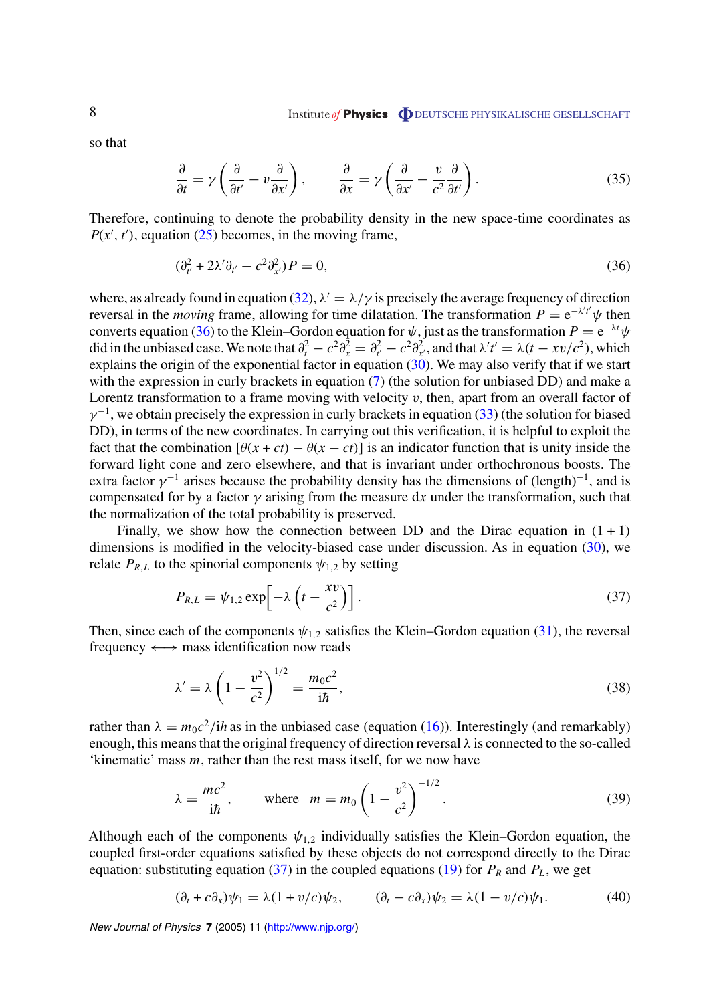<span id="page-8-0"></span>so that

$$
\frac{\partial}{\partial t} = \gamma \left( \frac{\partial}{\partial t'} - v \frac{\partial}{\partial x'} \right), \qquad \frac{\partial}{\partial x} = \gamma \left( \frac{\partial}{\partial x'} - \frac{v}{c^2} \frac{\partial}{\partial t'} \right).
$$
(35)

Therefore, continuing to denote the probability density in the new space-time coordinates as  $P(x', t')$ , equation ([25\)](#page-6-0) becomes, in the moving frame,

$$
(\partial_{t'}^2 + 2\lambda' \partial_{t'} - c^2 \partial_{x'}^2) P = 0, \tag{36}
$$

where, as already found in equation ([32\)](#page-7-0),  $\lambda' = \lambda/\gamma$  is precisely the average frequency of direction reversal in the *moving* frame, allowing for time dilatation. The transformation  $P = e^{-\lambda' t'} \psi$  then converts equation (36) to the Klein–Gordon equation for  $\psi$ , just as the transformation  $P = e^{-\lambda t}\psi$ did in the unbiased case. We note that  $\partial_t^2 - c^2 \partial_x^2 = \partial_{t'}^2 - c^2 \partial_{x'}^2$ , and that  $\lambda' t' = \lambda (t - xv/c^2)$ , which explains the origin of the exponential factor in equation [\(30\)](#page-7-0). We may also verify that if we start with the expression in curly brackets in equation [\(7\)](#page-4-0) (the solution for unbiased DD) and make a Lorentz transformation to a frame moving with velocity *v*, then, apart from an overall factor of  $\gamma^{-1}$ , we obtain precisely the expression in curly brackets in equation [\(33](#page-7-0)) (the solution for biased DD), in terms of the new coordinates. In carrying out this verification, it is helpful to exploit the fact that the combination  $[\theta(x + ct) - \theta(x - ct)]$  is an indicator function that is unity inside the forward light cone and zero elsewhere, and that is invariant under orthochronous boosts. The extra factor  $\gamma^{-1}$  arises because the probability density has the dimensions of (length)<sup>-1</sup>, and is compensated for by a factor  $\gamma$  arising from the measure dx under the transformation, such that the normalization of the total probability is preserved.

Finally, we show how the connection between DD and the Dirac equation in  $(1 + 1)$ dimensions is modified in the velocity-biased case under discussion. As in equation [\(30](#page-7-0)), we relate  $P_{R,L}$  to the spinorial components  $\psi_{1,2}$  by setting

$$
P_{R,L} = \psi_{1,2} \exp\left[-\lambda \left(t - \frac{xv}{c^2}\right)\right].
$$
 (37)

Then, since each of the components  $\psi_{1,2}$  satisfies the Klein–Gordon equation [\(31](#page-7-0)), the reversal frequency ←→ mass identification now reads

$$
\lambda' = \lambda \left( 1 - \frac{v^2}{c^2} \right)^{1/2} = \frac{m_0 c^2}{i \hbar},
$$
\n(38)

rather than  $\lambda = m_0 c^2 / i \hbar$  as in the unbiased case (equation [\(16](#page-5-0))). Interestingly (and remarkably) enough, this means that the original frequency of direction reversal *λ* is connected to the so-called 'kinematic' mass *m*, rather than the rest mass itself, for we now have

$$
\lambda = \frac{mc^2}{i\hbar}
$$
, where  $m = m_0 \left(1 - \frac{v^2}{c^2}\right)^{-1/2}$ . (39)

Although each of the components  $\psi_{1,2}$  individually satisfies the Klein–Gordon equation, the coupled first-order equations satisfied by these objects do not correspond directly to the Dirac equation: substituting equation (37) in the coupled equations ([19\)](#page-6-0) for  $P_R$  and  $P_L$ , we get

$$
(\partial_t + c\partial_x)\psi_1 = \lambda(1 + v/c)\psi_2, \qquad (\partial_t - c\partial_x)\psi_2 = \lambda(1 - v/c)\psi_1.
$$
 (40)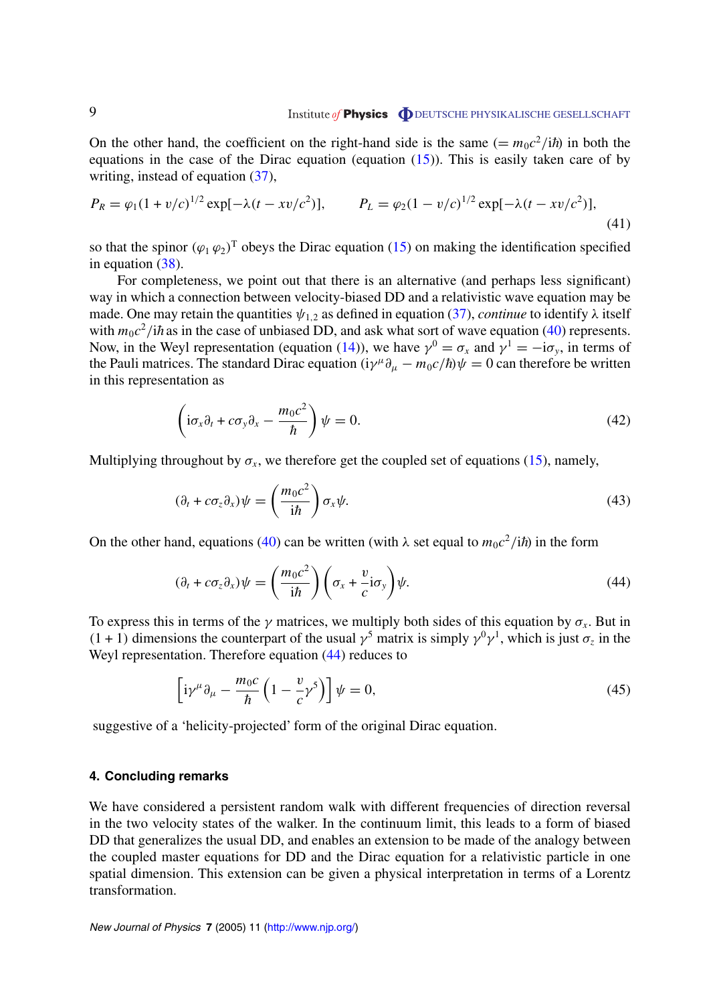## <span id="page-9-0"></span>9 **DEUTSCHE PHYSIKALISCHE GESELLSCHAFT**

On the other hand, the coefficient on the right-hand side is the same  $(= m_0 c^2 / i \hbar)$  in both the equations in the case of the Dirac equation (equation  $(15)$  $(15)$ ). This is easily taken care of by writing, instead of equation [\(37](#page-8-0)),

$$
P_R = \varphi_1 (1 + v/c)^{1/2} \exp[-\lambda (t - xv/c^2)], \qquad P_L = \varphi_2 (1 - v/c)^{1/2} \exp[-\lambda (t - xv/c^2)], \qquad (41)
$$

so that the spinor  $(\varphi_1 \varphi_2)^T$  obeys the Dirac equation [\(15](#page-5-0)) on making the identification specified in equation [\(38](#page-8-0)).

For completeness, we point out that there is an alternative (and perhaps less significant) way in which a connection between velocity-biased DD and a relativistic wave equation may be made. One may retain the quantities  $\psi_{1,2}$  as defined in equation ([37\)](#page-8-0), *continue* to identify  $\lambda$  itself with  $m_0c^2/i\hbar$  as in the case of unbiased DD, and ask what sort of wave equation [\(40](#page-8-0)) represents. Now, in the Weyl representation (equation [\(14](#page-5-0))), we have  $\gamma^0 = \sigma_x$  and  $\gamma^1 = -i\sigma_y$ , in terms of the Pauli matrices. The standard Dirac equation  $(i\gamma^{\mu}\partial_{\mu} - m_0 c/\hbar)\psi = 0$  can therefore be written in this representation as

$$
\left(i\sigma_x\partial_t + c\sigma_y\partial_x - \frac{m_0c^2}{\hbar}\right)\psi = 0.
$$
\n(42)

Multiplying throughout by  $\sigma_x$ , we therefore get the coupled set of equations [\(15](#page-5-0)), namely,

$$
(\partial_t + c\sigma_z \partial_x)\psi = \left(\frac{m_0 c^2}{i\hbar}\right)\sigma_x\psi.
$$
\n(43)

On the other hand, equations ([40\)](#page-8-0) can be written (with λ set equal to  $m_0c^2/i\hbar$ ) in the form

$$
(\partial_t + c\sigma_z \partial_x)\psi = \left(\frac{m_0 c^2}{i\hbar}\right) \left(\sigma_x + \frac{v}{c}i\sigma_y\right)\psi.
$$
 (44)

To express this in terms of the  $\gamma$  matrices, we multiply both sides of this equation by  $\sigma_x$ . But in  $(1 + 1)$  dimensions the counterpart of the usual  $\gamma^5$  matrix is simply  $\gamma^0 \gamma^1$ , which is just  $\sigma_z$  in the Weyl representation. Therefore equation (44) reduces to

$$
\left[i\gamma^{\mu}\partial_{\mu} - \frac{m_0c}{\hbar} \left(1 - \frac{v}{c}\gamma^5\right)\right]\psi = 0, \tag{45}
$$

suggestive of a 'helicity-projected' form of the original Dirac equation.

#### **4. Concluding remarks**

We have considered a persistent random walk with different frequencies of direction reversal in the two velocity states of the walker. In the continuum limit, this leads to a form of biased DD that generalizes the usual DD, and enables an extension to be made of the analogy between the coupled master equations for DD and the Dirac equation for a relativistic particle in one spatial dimension. This extension can be given a physical interpretation in terms of a Lorentz transformation.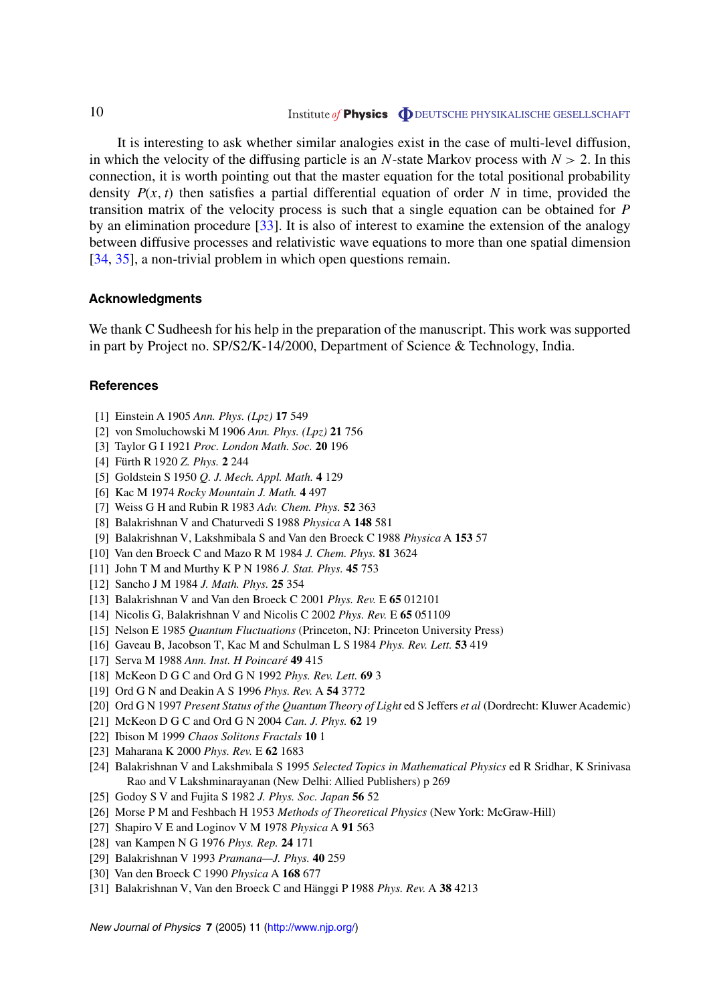## <span id="page-10-0"></span>10 Institute of **Physics DEUTSCHE PHYSIKALISCHE GESELLSCHAFT**

It is interesting to ask whether similar analogies exist in the case of multi-level diffusion, in which the velocity of the diffusing particle is an *N*-state Markov process with  $N > 2$ . In this connection, it is worth pointing out that the master equation for the total positional probability density  $P(x, t)$  then satisfies a partial differential equation of order N in time, provided the transition matrix of the velocity process is such that a single equation can be obtained for *P* by an elimination procedure [[33\]](#page-11-0). It is also of interest to examine the extension of the analogy between diffusive processes and relativistic wave equations to more than one spatial dimension [[34,](#page-11-0) [35\]](#page-11-0), a non-trivial problem in which open questions remain.

#### **Acknowledgments**

We thank C Sudheesh for his help in the preparation of the manuscript. This work was supported in part by Project no. SP/S2/K-14/2000, Department of Science & Technology, India.

#### **References**

- [1] Einstein A 1905 *Ann. Phys. (Lpz)* **17** 549
- [2] von Smoluchowski M 1906 *Ann. Phys. (Lpz)* **21** 756
- [3] Taylor G I 1921 *Proc. London Math. Soc.* **20** 196
- [4] Fürth R 1920 *Z. Phys.* **2** 244
- [5] Goldstein S 1950 *Q. J. Mech. Appl. Math.* **4** 129
- [6] Kac M 1974 *Rocky Mountain J. Math.* **4** 497
- [7] Weiss G H and Rubin R 1983 *Adv. Chem. Phys.* **52** 363
- [8] Balakrishnan V and Chaturvedi S 1988 *Physica* A **148** 581
- [9] Balakrishnan V, Lakshmibala S and Van den Broeck C 1988 *Physica* A **153** 57
- [10] Van den Broeck C and Mazo R M 1984 *J. Chem. Phys.* **81** 3624
- [11] John T M and MurthyKPN 1986 *J. Stat. Phys.* **45** 753
- [12] Sancho J M 1984 *J. Math. Phys.* **25** 354
- [13] Balakrishnan V and Van den Broeck C 2001 *Phys. Rev.* E **65** 012101
- [14] Nicolis G, Balakrishnan V and Nicolis C 2002 *Phys. Rev.* E **65** 051109
- [15] Nelson E 1985 *Quantum Fluctuations* (Princeton, NJ: Princeton University Press)
- [16] Gaveau B, Jacobson T, Kac M and Schulman L S 1984 *Phys. Rev. Lett.* **53** 419
- [17] Serva M 1988 Ann. Inst. H Poincaré 49 415
- [18] McKeon D G C and Ord G N 1992 *Phys. Rev. Lett.* **69** 3
- [19] Ord G N and Deakin A S 1996 *Phys. Rev.* A **54** 3772
- [20] Ord G N 1997 *Present Status of the Quantum Theory of Light* ed S Jeffers *et al* (Dordrecht: Kluwer Academic)
- [21] McKeon D G C and Ord G N 2004 *Can. J. Phys.* **62** 19
- [22] Ibison M 1999 *Chaos Solitons Fractals* **10** 1
- [23] Maharana K 2000 *Phys. Rev.* E **62** 1683
- [24] Balakrishnan V and Lakshmibala S 1995 *Selected Topics in Mathematical Physics* ed R Sridhar, K Srinivasa Rao and V Lakshminarayanan (New Delhi: Allied Publishers) p 269
- [25] Godoy S V and Fujita S 1982 *J. Phys. Soc. Japan* **56** 52
- [26] Morse P M and Feshbach H 1953 *Methods of Theoretical Physics* (New York: McGraw-Hill)
- [27] Shapiro V E and Loginov V M 1978 *Physica* A **91** 563
- [28] van Kampen N G 1976 *Phys. Rep.* **24** 171
- [29] Balakrishnan V 1993 *Pramana—J. Phys.* **40** 259
- [30] Van den Broeck C 1990 *Physica* A **168** 677
- [31] Balakrishnan V, Van den Broeck C and Hänggi P 1988 *Phys. Rev.* A **38** 4213